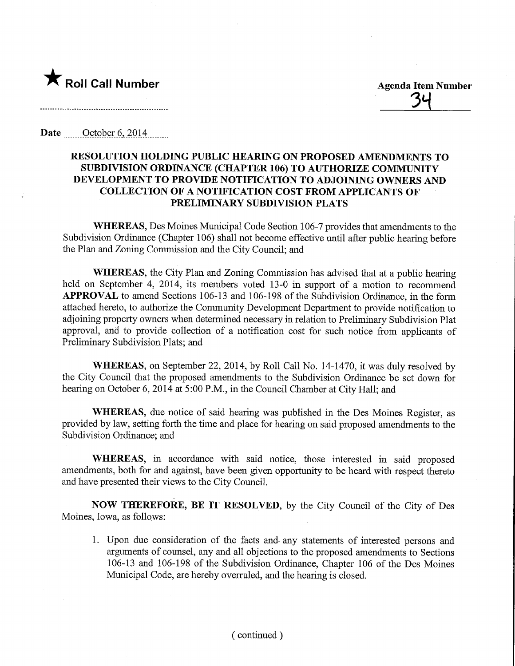

<u>34</u>

Date October 6, 2014

## RESOLUTION HOLDING PUBLIC HEARING ON PROPOSED AMENDMENTS TO SUBDIVISION ORDINANCE (CHAPTER 106) TO AUTHORIZE COMMUNITY DEVELOPMENT TO PROVIDE NOTIFICATION TO ADJOINING OWNERS AND COLLECTION OF A NOTIFICATION COST FROM APPLICANTS OF PRELIMINARY SUBDIVISION PLATS

WHEREAS, Des Moines Municipal Code Section 106-7 provides that amendments to the Subdivision Ordinance (Chapter 106) shall not become effective until after public hearing before the Plan and Zoning Commission and the City Council; and

WHEREAS, the City Plan and Zoning Commission has advised that at a public hearing held on September 4, 2014, its members voted 13-0 in support of a motion to recommend APPROVAL to amend Sections 106-13 and 106-198 of the Subdivision Ordinance, in the form attached hereto, to authorize the Community Development Department to provide notification to adjoining property owners when determined necessary in relation to Preliminary Subdivision Plat approval, and to provide collection of a notification cost for such notice from applicants of Preliminary Subdivision Plats; and

WHEREAS, on September 22, 2014, by Roll Call No. 14-1470, it was duly resolved by the City Council that the proposed amendments to the Subdivision Ordinance be set down for hearing on October 6, 2014 at 5:00 P.M., in the Council Chamber at City Hall; and

WHEREAS, due notice of said hearing was published in the Des Moines Register, as provided by law, setting forth the time and place for hearing on said proposed amendments to the Subdivision Ordinance; and

WHEREAS, in accordance with said notice, those interested in said proposed amendments, both for and against, have been given opportunity to be heard with respect thereto and have presented their views to the City Council.

NOW THEREFORE, BE IT RESOLVED, by the City Council of the City of Des Moines, Iowa, as follows:

1. Upon due consideration of the facts and any statements of interested persons and arguments of counsel, any and all objections to the proposed amendments to Sections 106-13 and 106-198 of the Subdivision Ordinance, Chapter 106 of the Des Moines Municipal Code, are hereby overruled, and the hearing is closed.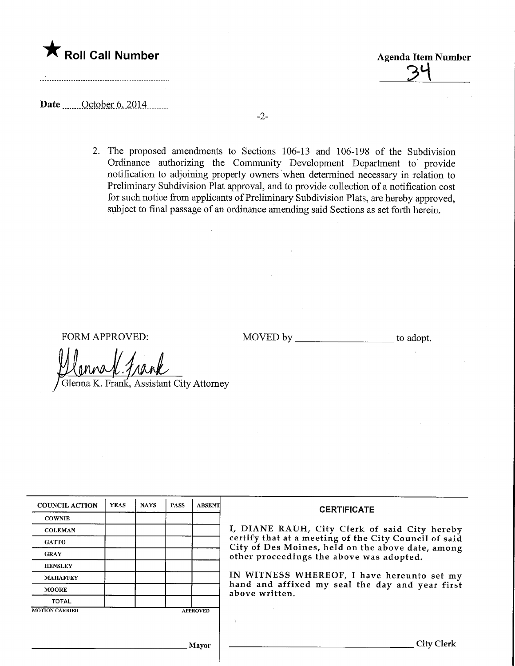

34

Date  $\frac{\text{October } 6, 2014}{\text{Order } 6, 2014}$ 

2. The proposed amendments to Sections 106-13 and 106-198 of the Subdivision Ordinance authorizing the Community Development Department to provide notification to adjoining property owners when determined necessary in relation to Preliminary Subdivision Plat approval, and to provide collection of a notification cost for such notice from applicants of Preliminary Subdivision Plats, are hereby approved, subject to final passage of an ordinance amending said Sections as set forth herein.

FORM APPROVED: MOVED by \_\_\_\_\_\_\_\_\_\_\_\_\_\_\_\_\_\_\_\_\_ to adopt.

Glenna K. Frank, Assistant City Attorney

| <b>COUNCIL ACTION</b> | <b>YEAS</b> | <b>NAYS</b> | <b>PASS</b> | <b>ABSENT</b>   | <b>CERTIFICATE</b>                                                                                                                                     |  |  |  |  |  |
|-----------------------|-------------|-------------|-------------|-----------------|--------------------------------------------------------------------------------------------------------------------------------------------------------|--|--|--|--|--|
| <b>COWNIE</b>         |             |             |             |                 |                                                                                                                                                        |  |  |  |  |  |
| <b>COLEMAN</b>        |             |             |             |                 | I, DIANE RAUH, City Clerk of said City hereby                                                                                                          |  |  |  |  |  |
| <b>GATTO</b>          |             |             |             |                 | certify that at a meeting of the City Council of said<br>City of Des Moines, held on the above date, among<br>other proceedings the above was adopted. |  |  |  |  |  |
| <b>GRAY</b>           |             |             |             |                 |                                                                                                                                                        |  |  |  |  |  |
| <b>HENSLEY</b>        |             |             |             |                 |                                                                                                                                                        |  |  |  |  |  |
| <b>MAHAFFEY</b>       |             |             |             |                 | IN WITNESS WHEREOF, I have hereunto set my<br>hand and affixed my seal the day and year first<br>above written.                                        |  |  |  |  |  |
| <b>MOORE</b>          |             |             |             |                 |                                                                                                                                                        |  |  |  |  |  |
| <b>TOTAL</b>          |             |             |             |                 |                                                                                                                                                        |  |  |  |  |  |
| <b>MOTION CARRIED</b> |             |             |             | <b>APPROVED</b> |                                                                                                                                                        |  |  |  |  |  |
|                       |             |             |             |                 |                                                                                                                                                        |  |  |  |  |  |
|                       |             |             |             |                 |                                                                                                                                                        |  |  |  |  |  |
|                       |             |             |             | <b>Mayor</b>    | <b>City Clerk</b>                                                                                                                                      |  |  |  |  |  |
|                       |             |             |             |                 |                                                                                                                                                        |  |  |  |  |  |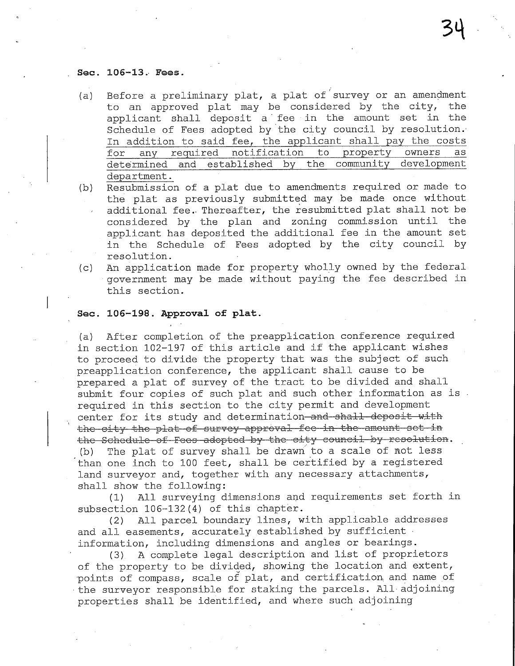#### Sec. 106-13. Fees.

- (a) Before a preliminary plat, a plat of survey or an amendment to an approved plat may be considered by the city, the applicant shall deposit a fee in the amount set in the Schedule of Fees adopted by the city council by resolution.' In addition to said fee, the applicant shall pay the costs<br>for any required notification to property owners as for any required notification to property determined and established by the community development department.
- (b) Resubmission of a plat due to amendments required or made to the plat as previously submitted may be made once without additional fee.. Thereafter, the resubmitted plat shall not be considered by the plan and zoning commission until the applicant has deposited the additional fee in the amount set in the Schedule of Fees adopted by the city council by resolution.
- (c) An application made for property wholly owned by the federal government may be made without paying the fee described in this section.

### Sec. 106-198. Approval of plat.

(a) After completion of the preapplication conference required in section 102-197 of this article and if the applicant wishes to proceed to divide the property that was the subject of such preapplication conference, the applicant shall cause to be prepared a plat of survey of the tract to be divided and shall submit four copies of such plat and such other information as is . required in this section to the city permit and development center for its study and determination and shall deposit with the city the plat of survey approval fee in the amount set in the Schedule of Fees adopted by the city council by resolution. (b) The plat of survey shall be drawn to a scale of not less than one inch to 100 feet, shall be certified by a registered land surveyor and, together with any necessary attachments, shall show the following:

(1) All surveying dimensions and requirements set forth in subsection 106-132(4) of this chapter.

(2) All parcel boundary lines, with applicable addresses and all easements, accurately established by sufficient  $\cdot$ information, including dimensions and angles or bearings.

(3) A complete legal description and list of proprietors of the property to be divided, showing the location and extent, •points of compass, scale of plat, and certification and name of the surveyor responsible for staking the parcels. All-adjoining properties shall be identified, and where such adjoining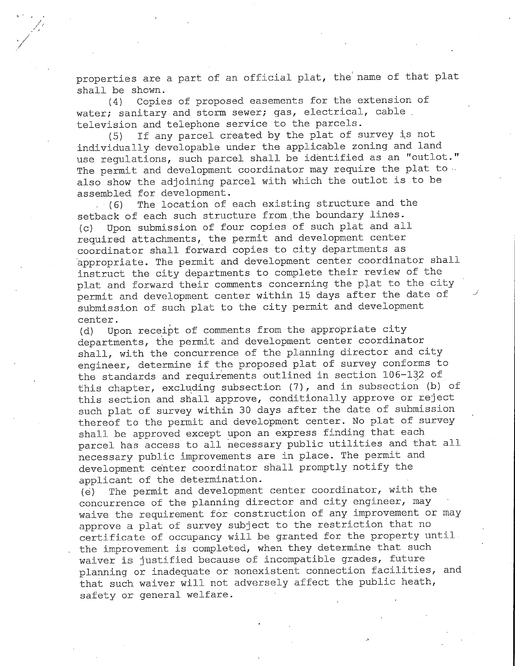properties are a part of an official plat, the name of that plat shall be shown.

(4) Copies of proposed easements for the extension of water; sanitary and storm sewer; gas, electrical, cable. television and telephone service to the parcels.

(5) If any parcel created by the plat of survey is not individually developable under the applicable zoning and land use regulations, such parcel shall be identified as an "outlot." The permit and development coordinator may require the plat to  $\cdot$ also show the adjoining parcel with which the outlot is to be assembled for development.

(6) The location of each existing structure and the setback of each such structure from the boundary lines. (c) Upon submission of four copies of such plat and all required attachments, the permit and development center coordinator shall forward copies to city departments as appropriate. The permit and development center coordinator shall instruct the city departments to complete their review of the plat and forward their comments concerning the plat to the city permit and development center within 15 days after the date of submission of such plat to the city permit and development center.

(d) Upon receipt of comments from the appropriate city departments, the permit and development center coordinator shall, with the concurrence of the planning director and city engineer, determine if the proposed plat of survey conforms to the standards and requirements outlined in section 106-132 of this chapter, excluding subsection (7), and in subsection (b) of this section and shall approve, conditionally approve or reject such plat of survey within 30 days after the date of submission thereof to the permit and development center. No plat of survey shall be approved except upon an express finding that each parcel has access to all necessary public utilities and that all necessary public improvements are in place. The permit and development center coordinator shall promptly notify the applicant of the determination.

(e) The permit and development center coordinator, with the concurrence of the planning director and city engineer, may waive the requirement for construction of any improvement or may approve a plat of survey subject to the restriction that no certificate of occupancy will be granted for the property until the improvement is completed, when they determine that such waiver is justified because of incompatible grades, future planning or inadequate or nonexistent connection facilities, and that such waiver will not adversely affect the public heath, safety or general welfare.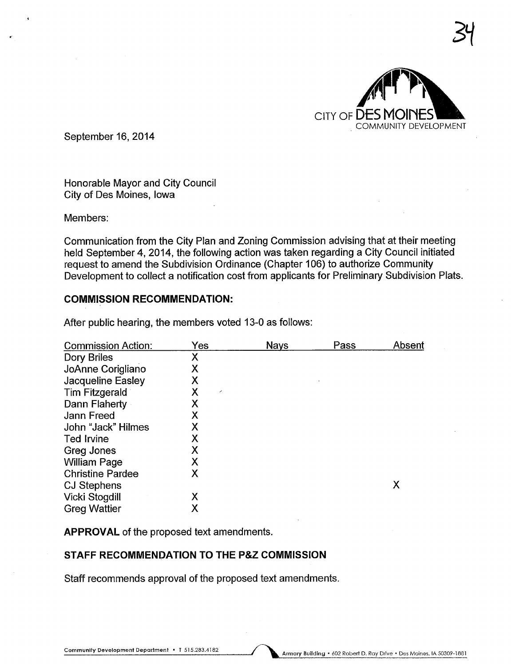

34

September 16, 2014

Honorable Mayor and City Council City of Des Moines, Iowa

Members:

Communication from the City Plan and Zoning Commission advising that at their meeting held September 4, 2014, the following action was taken regarding a City Council initiated request to amend the Subdivision Ordinance (Chapter 106) to authorize Community Development to collect a notification cost from applicants for Preliminary Subdivision Plats.

## COMMISSION RECOMMENDATION:

| <b>Commission Action:</b> | Yes                           | <b>Nays</b> | Pass | Absent |
|---------------------------|-------------------------------|-------------|------|--------|
| Dory Briles               | Χ                             |             |      |        |
| JoAnne Corigliano         | Χ                             |             |      |        |
| Jacqueline Easley         | Χ                             |             |      |        |
| <b>Tim Fitzgerald</b>     | Χ<br>$\overline{\phantom{a}}$ |             |      |        |
| Dann Flaherty             | Χ                             |             |      |        |
| Jann Freed                | Х                             |             |      |        |
| John "Jack" Hilmes        | x                             |             |      |        |
| <b>Ted Irvine</b>         | Χ                             |             |      |        |
| Greg Jones                | Χ                             |             |      |        |
| <b>William Page</b>       | Х                             |             |      |        |
| <b>Christine Pardee</b>   | Χ                             |             |      |        |
| <b>CJ Stephens</b>        |                               |             |      | Χ      |
| Vicki Stogdill            | Χ                             |             |      |        |
| <b>Greg Wattier</b>       | Χ                             |             |      |        |

After public hearing, the members voted 13-0 as follows:

APPROVAL of the proposed text amendments.

### STAFF RECOMMENDATION TO THE P&Z COMMISSION

Staff recommends approval of the proposed text amendments.